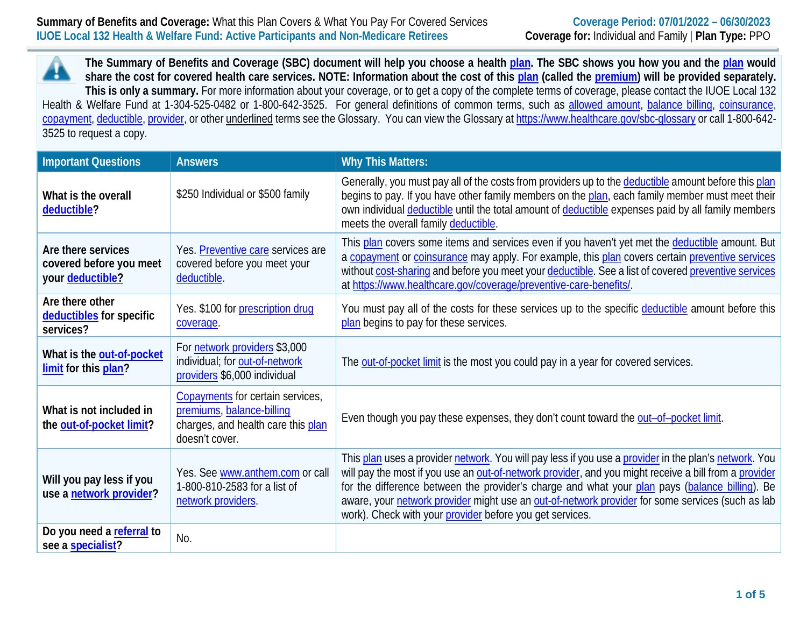**The Summary of Benefits and Coverage (SBC) document will help you choose a health [plan.](https://www.healthcare.gov/sbc-glossary/#plan) The SBC shows you how you and the [plan](https://www.healthcare.gov/sbc-glossary/#plan) would share the cost for covered health care services. NOTE: Information about the cost of this [plan](https://www.healthcare.gov/sbc-glossary/#plan) (called the [premium\)](https://www.healthcare.gov/sbc-glossary/#premium) will be provided separately. This is only a summary.** For more information about your coverage, or to get a copy of the complete terms of coverage, please contact the IUOE Local 132 Health & Welfare Fund at 1-304-525-0482 or 1-800-642-3525. For general definitions of common terms, such as [allowed amount,](https://www.healthcare.gov/sbc-glossary/#allowed-amount) [balance billing,](https://www.healthcare.gov/sbc-glossary/#balance-billing) [coinsurance,](https://www.healthcare.gov/sbc-glossary/#coinsurance) [copayment,](https://www.healthcare.gov/sbc-glossary/#copayment) [deductible,](https://www.healthcare.gov/sbc-glossary/#deductible) [provider,](https://www.healthcare.gov/sbc-glossary/#provider) or other underlined terms see the Glossary. You can view the Glossary a[t https://www.healthcare.gov/sbc-glossary](https://www.healthcare.gov/sbc-glossary) or call 1-800-642-3525 to request a copy.

| <b>Important Questions</b>                                        | <b>Answers</b>                                                                                                        | <b>Why This Matters:</b>                                                                                                                                                                                                                                                                                                                                                                                                                                                         |
|-------------------------------------------------------------------|-----------------------------------------------------------------------------------------------------------------------|----------------------------------------------------------------------------------------------------------------------------------------------------------------------------------------------------------------------------------------------------------------------------------------------------------------------------------------------------------------------------------------------------------------------------------------------------------------------------------|
| What is the overall<br>deductible?                                | \$250 Individual or \$500 family                                                                                      | Generally, you must pay all of the costs from providers up to the deductible amount before this plan<br>begins to pay. If you have other family members on the plan, each family member must meet their<br>own individual deductible until the total amount of deductible expenses paid by all family members<br>meets the overall family deductible.                                                                                                                            |
| Are there services<br>covered before you meet<br>your deductible? | Yes. Preventive care services are<br>covered before you meet your<br>deductible.                                      | This plan covers some items and services even if you haven't yet met the deductible amount. But<br>a copayment or coinsurance may apply. For example, this plan covers certain preventive services<br>without cost-sharing and before you meet your deductible. See a list of covered preventive services<br>at https://www.healthcare.gov/coverage/preventive-care-benefits/.                                                                                                   |
| Are there other<br>deductibles for specific<br>services?          | Yes. \$100 for prescription drug<br>coverage.                                                                         | You must pay all of the costs for these services up to the specific deductible amount before this<br>plan begins to pay for these services.                                                                                                                                                                                                                                                                                                                                      |
| What is the out-of-pocket<br>limit for this plan?                 | For network providers \$3,000<br>individual; for out-of-network<br>providers \$6,000 individual                       | The out-of-pocket limit is the most you could pay in a year for covered services.                                                                                                                                                                                                                                                                                                                                                                                                |
| What is not included in<br>the out-of-pocket limit?               | Copayments for certain services,<br>premiums, balance-billing<br>charges, and health care this plan<br>doesn't cover. | Even though you pay these expenses, they don't count toward the out-of-pocket limit.                                                                                                                                                                                                                                                                                                                                                                                             |
| Will you pay less if you<br>use a network provider?               | Yes. See www.anthem.com or call<br>1-800-810-2583 for a list of<br>network providers.                                 | This plan uses a provider network. You will pay less if you use a provider in the plan's network. You<br>will pay the most if you use an out-of-network provider, and you might receive a bill from a provider<br>for the difference between the provider's charge and what your plan pays (balance billing). Be<br>aware, your network provider might use an out-of-network provider for some services (such as lab<br>work). Check with your provider before you get services. |
| Do you need a referral to<br>see a specialist?                    | No.                                                                                                                   |                                                                                                                                                                                                                                                                                                                                                                                                                                                                                  |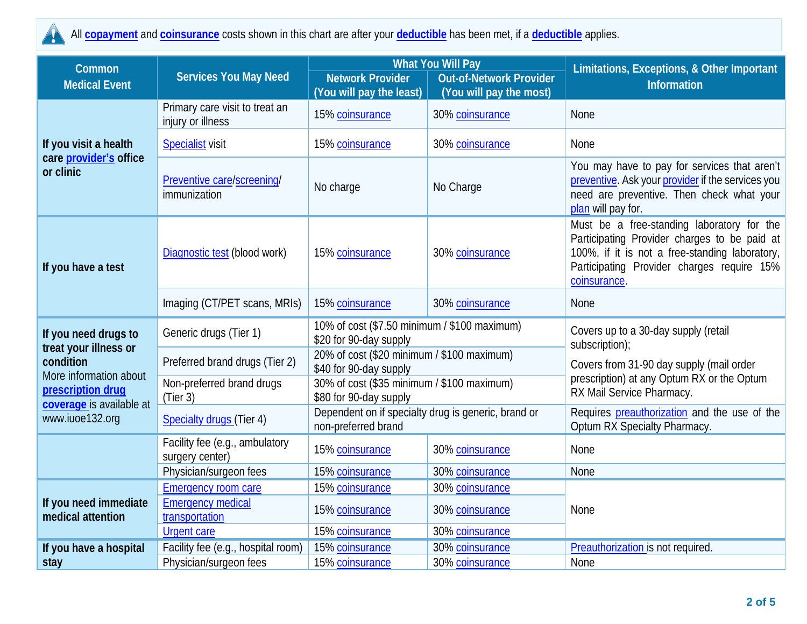

All **[copayment](https://www.healthcare.gov/sbc-glossary/#copayment)** and **[coinsurance](https://www.healthcare.gov/sbc-glossary/#coinsurance)** costs shown in this chart are after your **[deductible](https://www.healthcare.gov/sbc-glossary/#deductible)** has been met, if a **[deductible](https://www.healthcare.gov/sbc-glossary/#deductible)** applies.

| Common                                                       |                                                     |                                                                            | <b>What You Will Pay</b>       | Limitations, Exceptions, & Other Important                                                                                                                                                                 |  |
|--------------------------------------------------------------|-----------------------------------------------------|----------------------------------------------------------------------------|--------------------------------|------------------------------------------------------------------------------------------------------------------------------------------------------------------------------------------------------------|--|
| <b>Medical Event</b>                                         | <b>Services You May Need</b>                        | <b>Network Provider</b>                                                    | <b>Out-of-Network Provider</b> | <b>Information</b>                                                                                                                                                                                         |  |
|                                                              |                                                     | (You will pay the least)                                                   | (You will pay the most)        |                                                                                                                                                                                                            |  |
|                                                              | Primary care visit to treat an<br>injury or illness | 15% coinsurance                                                            | 30% coinsurance                | None                                                                                                                                                                                                       |  |
| If you visit a health                                        | <b>Specialist</b> visit                             | 15% coinsurance                                                            | 30% coinsurance                | None                                                                                                                                                                                                       |  |
| care <i>provider's</i> office<br>or clinic                   | Preventive care/screening/<br>immunization          | No charge                                                                  | No Charge                      | You may have to pay for services that aren't<br>preventive. Ask your provider if the services you<br>need are preventive. Then check what your<br>plan will pay for.                                       |  |
| If you have a test                                           | Diagnostic test (blood work)                        | 15% coinsurance<br>30% coinsurance                                         |                                | Must be a free-standing laboratory for the<br>Participating Provider charges to be paid at<br>100%, if it is not a free-standing laboratory,<br>Participating Provider charges require 15%<br>coinsurance. |  |
|                                                              | Imaging (CT/PET scans, MRIs)                        | 15% coinsurance                                                            | 30% coinsurance                | None                                                                                                                                                                                                       |  |
| If you need drugs to                                         | Generic drugs (Tier 1)                              | 10% of cost (\$7.50 minimum / \$100 maximum)<br>\$20 for 90-day supply     |                                | Covers up to a 30-day supply (retail<br>subscription);                                                                                                                                                     |  |
| treat your illness or<br>condition<br>More information about | Preferred brand drugs (Tier 2)                      | 20% of cost (\$20 minimum / \$100 maximum)<br>\$40 for 90-day supply       |                                | Covers from 31-90 day supply (mail order<br>prescription) at any Optum RX or the Optum<br>RX Mail Service Pharmacy.                                                                                        |  |
| prescription drug<br>coverage is available at                | Non-preferred brand drugs<br>(Tier 3)               | 30% of cost (\$35 minimum / \$100 maximum)<br>\$80 for 90-day supply       |                                |                                                                                                                                                                                                            |  |
| www.iuoe132.org                                              | Specialty drugs (Tier 4)                            | Dependent on if specialty drug is generic, brand or<br>non-preferred brand |                                | Requires preauthorization and the use of the<br>Optum RX Specialty Pharmacy.                                                                                                                               |  |
|                                                              | Facility fee (e.g., ambulatory<br>surgery center)   | 15% coinsurance                                                            | 30% coinsurance                | None                                                                                                                                                                                                       |  |
|                                                              | Physician/surgeon fees                              | 15% coinsurance                                                            | 30% coinsurance                | None                                                                                                                                                                                                       |  |
|                                                              | <b>Emergency room care</b>                          | 15% coinsurance                                                            | 30% coinsurance                |                                                                                                                                                                                                            |  |
| If you need immediate<br>medical attention                   | <b>Emergency medical</b><br>transportation          | 15% coinsurance                                                            | 30% coinsurance                | None                                                                                                                                                                                                       |  |
|                                                              | <b>Urgent care</b>                                  | 15% coinsurance                                                            | 30% coinsurance                |                                                                                                                                                                                                            |  |
| If you have a hospital                                       | Facility fee (e.g., hospital room)                  | 15% coinsurance                                                            | 30% coinsurance                | Preauthorization is not required.                                                                                                                                                                          |  |
| stay                                                         | Physician/surgeon fees                              | 15% coinsurance                                                            | 30% coinsurance                | None                                                                                                                                                                                                       |  |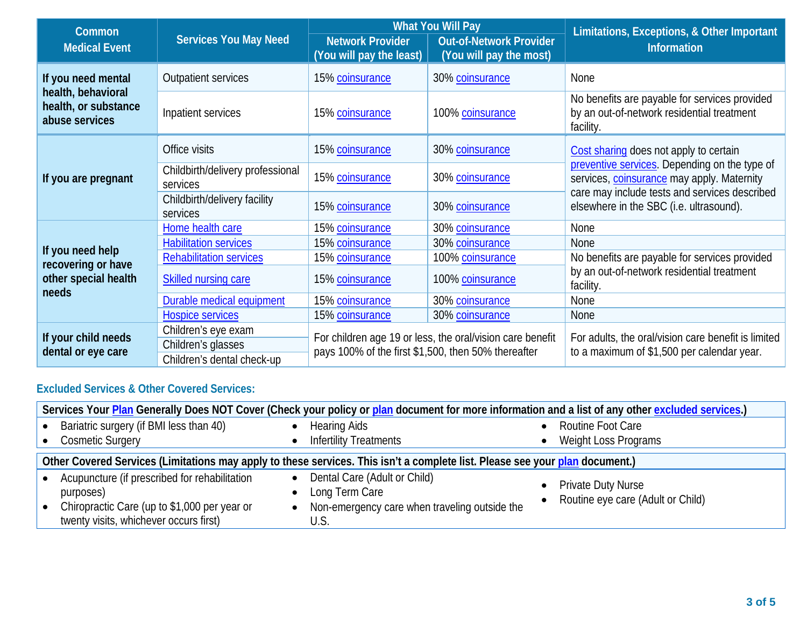| Common                                                       |                                              |                                                                                                                  | <b>What You Will Pay</b>                                  | Limitations, Exceptions, & Other Important                                                               |  |
|--------------------------------------------------------------|----------------------------------------------|------------------------------------------------------------------------------------------------------------------|-----------------------------------------------------------|----------------------------------------------------------------------------------------------------------|--|
| <b>Medical Event</b>                                         | <b>Services You May Need</b>                 | <b>Network Provider</b><br>(You will pay the least)                                                              | <b>Out-of-Network Provider</b><br>(You will pay the most) | Information                                                                                              |  |
| If you need mental                                           | <b>Outpatient services</b>                   | 15% coinsurance                                                                                                  | 30% coinsurance                                           | None                                                                                                     |  |
| health, behavioral<br>health, or substance<br>abuse services | Inpatient services                           | 15% coinsurance                                                                                                  | 100% coinsurance                                          | No benefits are payable for services provided<br>by an out-of-network residential treatment<br>facility. |  |
|                                                              | Office visits                                | 15% coinsurance                                                                                                  | 30% coinsurance                                           | Cost sharing does not apply to certain                                                                   |  |
| If you are pregnant                                          | Childbirth/delivery professional<br>services | 15% coinsurance                                                                                                  | 30% coinsurance                                           | preventive services. Depending on the type of<br>services, coinsurance may apply. Maternity              |  |
|                                                              | Childbirth/delivery facility<br>services     | 15% coinsurance                                                                                                  | 30% coinsurance                                           | care may include tests and services described<br>elsewhere in the SBC (i.e. ultrasound).                 |  |
|                                                              | Home health care                             | 15% coinsurance                                                                                                  | 30% coinsurance                                           | None                                                                                                     |  |
|                                                              | <b>Habilitation services</b>                 | 15% coinsurance                                                                                                  | 30% coinsurance                                           | <b>None</b>                                                                                              |  |
| If you need help<br>recovering or have                       | <b>Rehabilitation services</b>               | 15% coinsurance                                                                                                  | 100% coinsurance                                          | No benefits are payable for services provided                                                            |  |
| other special health<br>needs                                | Skilled nursing care                         | 15% coinsurance                                                                                                  | 100% coinsurance                                          | by an out-of-network residential treatment<br>facility.                                                  |  |
|                                                              | Durable medical equipment                    | 15% coinsurance                                                                                                  | 30% coinsurance                                           | None                                                                                                     |  |
|                                                              | <b>Hospice services</b>                      | 15% coinsurance                                                                                                  | 30% coinsurance                                           | None                                                                                                     |  |
| If your child needs                                          | Children's eye exam                          | For children age 19 or less, the oral/vision care benefit<br>pays 100% of the first \$1,500, then 50% thereafter |                                                           | For adults, the oral/vision care benefit is limited                                                      |  |
| dental or eye care                                           | Children's glasses                           |                                                                                                                  |                                                           | to a maximum of \$1,500 per calendar year.                                                               |  |
|                                                              | Children's dental check-up                   |                                                                                                                  |                                                           |                                                                                                          |  |

# **Excluded Services & Other Covered Services:**

| Services Your Plan Generally Does NOT Cover (Check your policy or plan document for more information and a list of any other excluded services.)     |                                                                                                         |                                                                |  |  |
|------------------------------------------------------------------------------------------------------------------------------------------------------|---------------------------------------------------------------------------------------------------------|----------------------------------------------------------------|--|--|
| Bariatric surgery (if BMI less than 40)                                                                                                              | <b>Hearing Aids</b>                                                                                     | Routine Foot Care                                              |  |  |
| <b>Cosmetic Surgery</b>                                                                                                                              | <b>Infertility Treatments</b>                                                                           | Weight Loss Programs                                           |  |  |
| Other Covered Services (Limitations may apply to these services. This isn't a complete list. Please see your plan document.)                         |                                                                                                         |                                                                |  |  |
| Acupuncture (if prescribed for rehabilitation<br>purposes)<br>Chiropractic Care (up to \$1,000 per year or<br>twenty visits, whichever occurs first) | Dental Care (Adult or Child)<br>Long Term Care<br>Non-emergency care when traveling outside the<br>U.S. | <b>Private Duty Nurse</b><br>Routine eye care (Adult or Child) |  |  |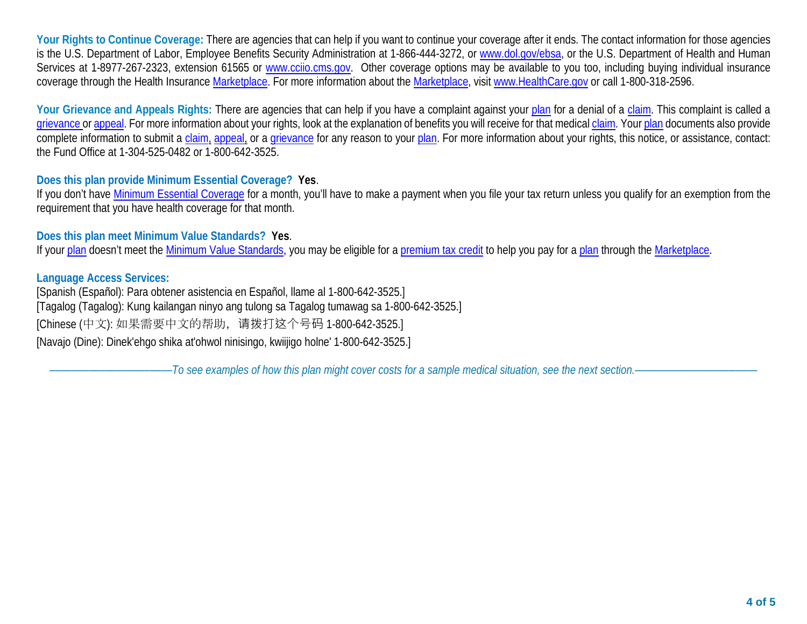**Your Rights to Continue Coverage:** There are agencies that can help if you want to continue your coverage after it ends. The contact information for those agencies is the U.S. Department of Labor, Employee Benefits Security Administration at 1-866-444-3272, or [www.dol.gov/ebsa,](http://www.dol.gov/ebsa) or the U.S. Department of Health and Human Services at 1-8977-267-2323, extension 61565 or [www.cciio.cms.gov.](http://www.cciio.cms.gov/) Other coverage options may be available to you too, including buying individual insurance coverage through the Health Insurance [Marketplace.](https://www.healthcare.gov/sbc-glossary/#marketplace) For more information about the [Marketplace,](https://www.healthcare.gov/sbc-glossary/#marketplace) visit [www.HealthCare.gov](http://www.healthcare.gov/) or call 1-800-318-2596.

Your Grievance and Appeals Rights: There are agencies that can help if you have a complaint against your [plan](https://www.healthcare.gov/sbc-glossary/#plan) for a denial of a [claim.](https://www.healthcare.gov/sbc-glossary/#claim) This complaint is called a [grievance](https://www.healthcare.gov/sbc-glossary/#grievance) or [appeal.](https://www.healthcare.gov/sbc-glossary/#appeal) For more information about your rights, look at the explanation of benefits you will receive for that medical [claim.](https://www.healthcare.gov/sbc-glossary/#claim) Your [plan](https://www.healthcare.gov/sbc-glossary/#plan) documents also provide complete information to submit a [claim,](https://www.healthcare.gov/sbc-glossary/#claim) [appeal,](https://www.healthcare.gov/sbc-glossary/#appeal) or a [grievance](https://www.healthcare.gov/sbc-glossary/#grievance) for any reason to your [plan.](https://www.healthcare.gov/sbc-glossary/#plan) For more information about your rights, this notice, or assistance, contact: the Fund Office at 1-304-525-0482 or 1-800-642-3525.

### **Does this plan provide Minimum Essential Coverage? Yes**.

If you don't have [Minimum Essential Coverage](https://www.healthcare.gov/sbc-glossary/#minimum-essential-coverage) for a month, you'll have to make a payment when you file your tax return unless you qualify for an exemption from the requirement that you have health coverage for that month.

#### **Does this plan meet Minimum Value Standards? Yes**.

If your [plan](https://www.healthcare.gov/sbc-glossary/#plan) doesn't meet the [Minimum Value Standards,](https://www.healthcare.gov/sbc-glossary/#minimum-value-standard) you may be eligible for a [premium tax credit](https://www.healthcare.gov/sbc-glossary/#premium-tax-credits) to help you pay for a [plan](https://www.healthcare.gov/sbc-glossary/#plan) through the [Marketplace.](https://www.healthcare.gov/sbc-glossary/#marketplace)

### **Language Access Services:**

[Spanish (Español): Para obtener asistencia en Español, llame al 1-800-642-3525.] [Tagalog (Tagalog): Kung kailangan ninyo ang tulong sa Tagalog tumawag sa 1-800-642-3525.] [Chinese (中文): 如果需要中文的帮助,请拨打这个号码 1-800-642-3525.] [Navajo (Dine): Dinek'ehgo shika at'ohwol ninisingo, kwiijigo holne' 1-800-642-3525.]

––––––––––––––––––––––*To see examples of how this plan might cover costs for a sample medical situation, see the next section.–––––––––––*–––––––––––